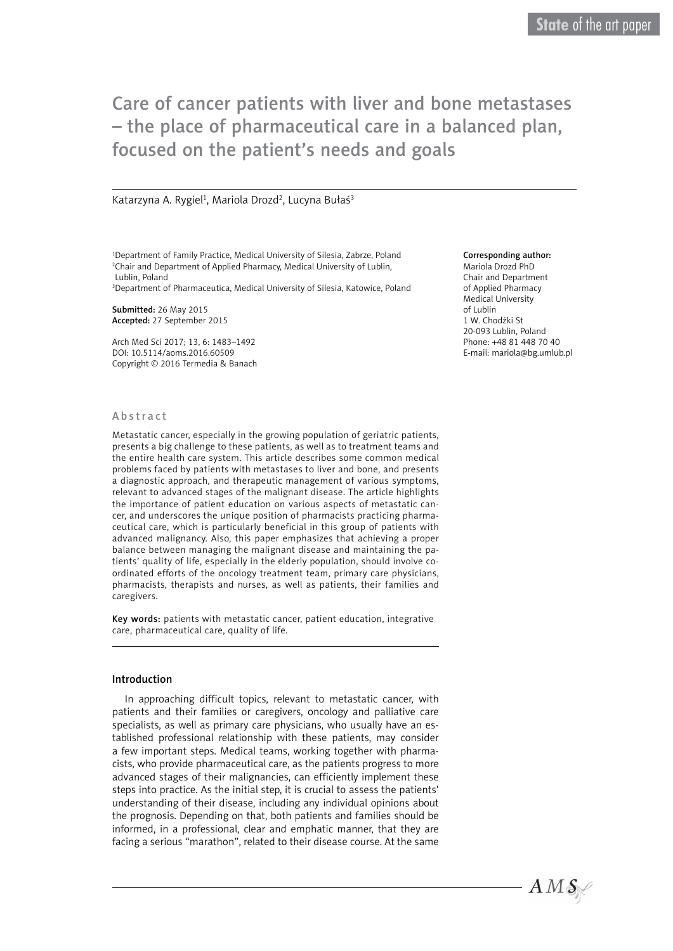Care of cancer patients with liver and bone metastases – the place of pharmaceutical care in a balanced plan, focused on the patient's needs and goals

#### Katarzyna A. Rygiel<sup>1</sup>, Mariola Drozd<sup>2</sup>, Lucyna Bułaś<sup>3</sup>

<sup>1</sup>Department of Family Practice, Medical University of Silesia, Zabrze, Poland 2 Chair and Department of Applied Pharmacy, Medical University of Lublin, Lublin, Poland

3 Department of Pharmaceutica, Medical University of Silesia, Katowice, Poland

Submitted: 26 May 2015 Accepted: 27 September 2015

Arch Med Sci 2017; 13, 6: 1483–1492 DOI: 10.5114/aoms.2016.60509 Copyright © 2016 Termedia & Banach

#### Corresponding author:

Mariola Drozd PhD Chair and Department of Applied Pharmacy Medical University of Lublin 1 W. Chodźki St 20-093 Lublin, Poland Phone: +48 81 448 70 40 E-mail: mariola@bg.umlub.pl

#### Abstract

Metastatic cancer, especially in the growing population of geriatric patients, presents a big challenge to these patients, as well as to treatment teams and the entire health care system. This article describes some common medical problems faced by patients with metastases to liver and bone, and presents a diagnostic approach, and therapeutic management of various symptoms, relevant to advanced stages of the malignant disease. The article highlights the importance of patient education on various aspects of metastatic cancer, and underscores the unique position of pharmacists practicing pharmaceutical care, which is particularly beneficial in this group of patients with advanced malignancy. Also, this paper emphasizes that achieving a proper balance between managing the malignant disease and maintaining the patients' quality of life, especially in the elderly population, should involve coordinated efforts of the oncology treatment team, primary care physicians, pharmacists, therapists and nurses, as well as patients, their families and caregivers.

Key words: patients with metastatic cancer, patient education, integrative care, pharmaceutical care, quality of life.

#### Introduction

In approaching difficult topics, relevant to metastatic cancer, with patients and their families or caregivers, oncology and palliative care specialists, as well as primary care physicians, who usually have an established professional relationship with these patients, may consider a few important steps. Medical teams, working together with pharmacists, who provide pharmaceutical care, as the patients progress to more advanced stages of their malignancies, can efficiently implement these steps into practice. As the initial step, it is crucial to assess the patients' understanding of their disease, including any individual opinions about the prognosis. Depending on that, both patients and families should be informed, in a professional, clear and emphatic manner, that they are facing a serious "marathon", related to their disease course. At the same

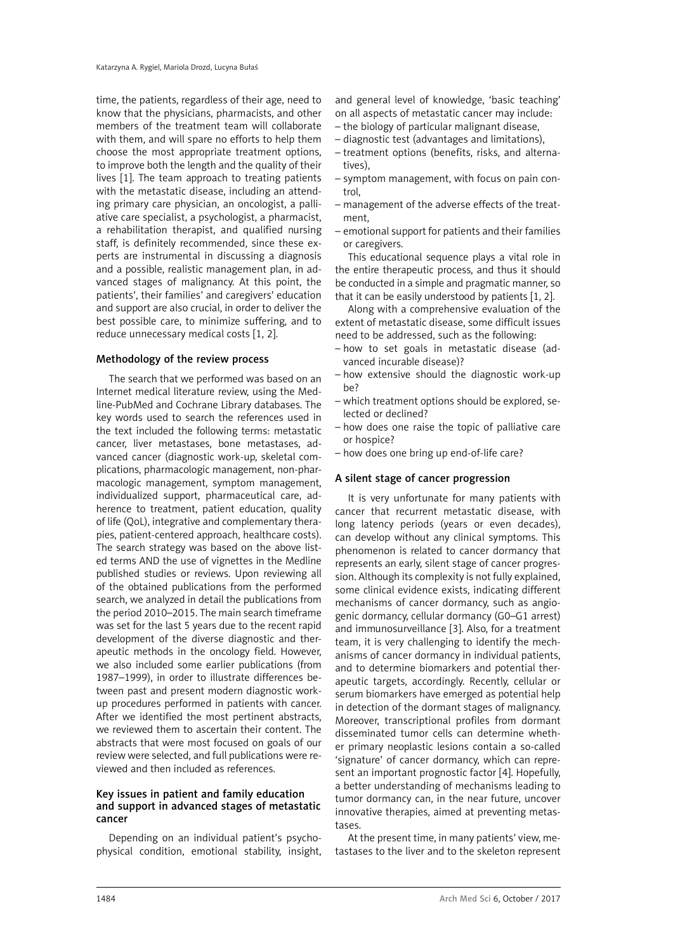time, the patients, regardless of their age, need to know that the physicians, pharmacists, and other members of the treatment team will collaborate with them, and will spare no efforts to help them choose the most appropriate treatment options, to improve both the length and the quality of their lives [1]. The team approach to treating patients with the metastatic disease, including an attending primary care physician, an oncologist, a palliative care specialist, a psychologist, a pharmacist, a rehabilitation therapist, and qualified nursing staff, is definitely recommended, since these experts are instrumental in discussing a diagnosis and a possible, realistic management plan, in advanced stages of malignancy. At this point, the patients', their families' and caregivers' education and support are also crucial, in order to deliver the best possible care, to minimize suffering, and to reduce unnecessary medical costs [1, 2].

## Methodology of the review process

The search that we performed was based on an Internet medical literature review, using the Medline-PubMed and Cochrane Library databases. The key words used to search the references used in the text included the following terms: metastatic cancer, liver metastases, bone metastases, advanced cancer (diagnostic work-up, skeletal complications, pharmacologic management, non-pharmacologic management, symptom management, individualized support, pharmaceutical care, adherence to treatment, patient education, quality of life (QoL), integrative and complementary therapies, patient-centered approach, healthcare costs). The search strategy was based on the above listed terms AND the use of vignettes in the Medline published studies or reviews. Upon reviewing all of the obtained publications from the performed search, we analyzed in detail the publications from the period 2010–2015. The main search timeframe was set for the last 5 years due to the recent rapid development of the diverse diagnostic and therapeutic methods in the oncology field. However, we also included some earlier publications (from 1987–1999), in order to illustrate differences between past and present modern diagnostic workup procedures performed in patients with cancer. After we identified the most pertinent abstracts, we reviewed them to ascertain their content. The abstracts that were most focused on goals of our review were selected, and full publications were reviewed and then included as references.

#### Key issues in patient and family education and support in advanced stages of metastatic cancer

Depending on an individual patient's psychophysical condition, emotional stability, insight,

and general level of knowledge, 'basic teaching' on all aspects of metastatic cancer may include:

- the biology of particular malignant disease,
- diagnostic test (advantages and limitations),
- treatment options (benefits, risks, and alternatives),
- symptom management, with focus on pain control,
- management of the adverse effects of the treatment,
- emotional support for patients and their families or caregivers.

This educational sequence plays a vital role in the entire therapeutic process, and thus it should be conducted in a simple and pragmatic manner, so that it can be easily understood by patients [1, 2].

Along with a comprehensive evaluation of the extent of metastatic disease, some difficult issues need to be addressed, such as the following:

- how to set goals in metastatic disease (advanced incurable disease)?
- how extensive should the diagnostic work-up be?
- which treatment options should be explored, selected or declined?
- how does one raise the topic of palliative care or hospice?
- how does one bring up end-of-life care?

## A silent stage of cancer progression

It is very unfortunate for many patients with cancer that recurrent metastatic disease, with long latency periods (years or even decades), can develop without any clinical symptoms. This phenomenon is related to cancer dormancy that represents an early, silent stage of cancer progression. Although its complexity is not fully explained, some clinical evidence exists, indicating different mechanisms of cancer dormancy, such as angiogenic dormancy, cellular dormancy (G0–G1 arrest) and immunosurveillance [3]. Also, for a treatment team, it is very challenging to identify the mechanisms of cancer dormancy in individual patients, and to determine biomarkers and potential therapeutic targets, accordingly. Recently, cellular or serum biomarkers have emerged as potential help in detection of the dormant stages of malignancy. Moreover, transcriptional profiles from dormant disseminated tumor cells can determine whether primary neoplastic lesions contain a so-called 'signature' of cancer dormancy, which can represent an important prognostic factor [4]. Hopefully, a better understanding of mechanisms leading to tumor dormancy can, in the near future, uncover innovative therapies, aimed at preventing metastases.

At the present time, in many patients' view, metastases to the liver and to the skeleton represent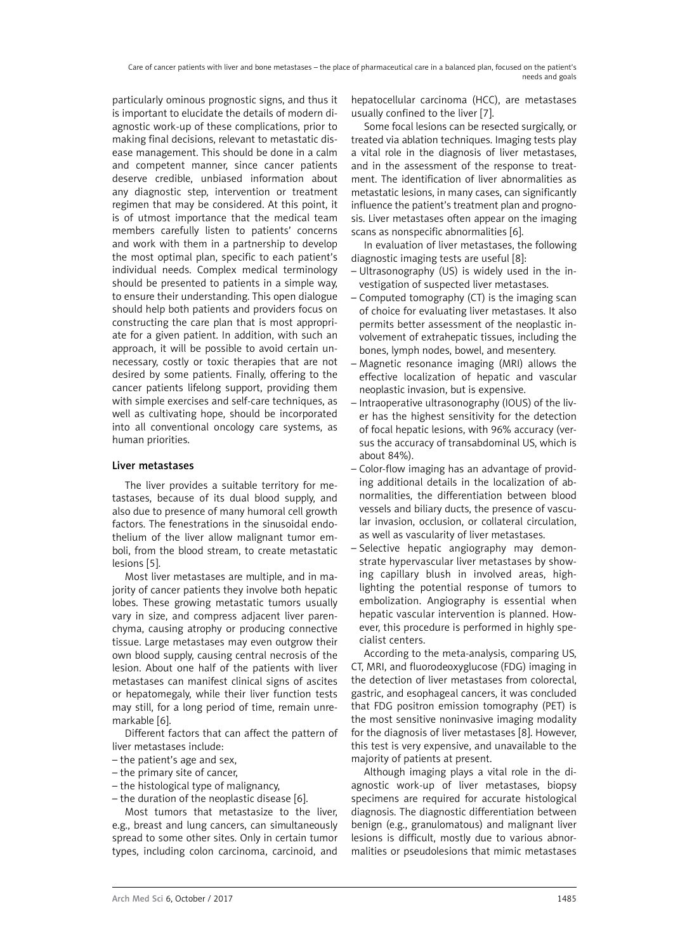particularly ominous prognostic signs, and thus it is important to elucidate the details of modern diagnostic work-up of these complications, prior to making final decisions, relevant to metastatic disease management. This should be done in a calm and competent manner, since cancer patients deserve credible, unbiased information about any diagnostic step, intervention or treatment regimen that may be considered. At this point, it is of utmost importance that the medical team members carefully listen to patients' concerns and work with them in a partnership to develop the most optimal plan, specific to each patient's individual needs. Complex medical terminology should be presented to patients in a simple way, to ensure their understanding. This open dialogue should help both patients and providers focus on constructing the care plan that is most appropriate for a given patient. In addition, with such an approach, it will be possible to avoid certain unnecessary, costly or toxic therapies that are not desired by some patients. Finally, offering to the cancer patients lifelong support, providing them with simple exercises and self-care techniques, as well as cultivating hope, should be incorporated into all conventional oncology care systems, as human priorities.

# Liver metastases

The liver provides a suitable territory for metastases, because of its dual blood supply, and also due to presence of many humoral cell growth factors. The fenestrations in the sinusoidal endothelium of the liver allow malignant tumor emboli, from the blood stream, to create metastatic lesions [5].

Most liver metastases are multiple, and in majority of cancer patients they involve both hepatic lobes. These growing metastatic tumors usually vary in size, and compress adjacent liver parenchyma, causing atrophy or producing connective tissue. Large metastases may even outgrow their own blood supply, causing central necrosis of the lesion. About one half of the patients with liver metastases can manifest clinical signs of ascites or hepatomegaly, while their liver function tests may still, for a long period of time, remain unremarkable [6].

Different factors that can affect the pattern of liver metastases include:

- the patient's age and sex,
- the primary site of cancer,
- the histological type of malignancy,
- the duration of the neoplastic disease [6].

Most tumors that metastasize to the liver, e.g., breast and lung cancers, can simultaneously spread to some other sites. Only in certain tumor types, including colon carcinoma, carcinoid, and hepatocellular carcinoma (HCC), are metastases usually confined to the liver [7].

Some focal lesions can be resected surgically, or treated via ablation techniques. Imaging tests play a vital role in the diagnosis of liver metastases, and in the assessment of the response to treatment. The identification of liver abnormalities as metastatic lesions, in many cases, can significantly influence the patient's treatment plan and prognosis. Liver metastases often appear on the imaging scans as nonspecific abnormalities [6].

In evaluation of liver metastases, the following diagnostic imaging tests are useful [8]:

- Ultrasonography (US) is widely used in the investigation of suspected liver metastases.
- Computed tomography (CT) is the imaging scan of choice for evaluating liver metastases. It also permits better assessment of the neoplastic involvement of extrahepatic tissues, including the bones, lymph nodes, bowel, and mesentery.
- Magnetic resonance imaging (MRI) allows the effective localization of hepatic and vascular neoplastic invasion, but is expensive.
- Intraoperative ultrasonography (IOUS) of the liver has the highest sensitivity for the detection of focal hepatic lesions, with 96% accuracy (versus the accuracy of transabdominal US, which is about 84%).
- Color-flow imaging has an advantage of providing additional details in the localization of abnormalities, the differentiation between blood vessels and biliary ducts, the presence of vascular invasion, occlusion, or collateral circulation, as well as vascularity of liver metastases.
- Selective hepatic angiography may demonstrate hypervascular liver metastases by showing capillary blush in involved areas, highlighting the potential response of tumors to embolization. Angiography is essential when hepatic vascular intervention is planned. However, this procedure is performed in highly specialist centers.

According to the meta-analysis, comparing US, CT, MRI, and fluorodeoxyglucose (FDG) imaging in the detection of liver metastases from colorectal, gastric, and esophageal cancers, it was concluded that FDG positron emission tomography (PET) is the most sensitive noninvasive imaging modality for the diagnosis of liver metastases [8]. However, this test is very expensive, and unavailable to the majority of patients at present.

Although imaging plays a vital role in the diagnostic work-up of liver metastases, biopsy specimens are required for accurate histological diagnosis. The diagnostic differentiation between benign (e.g., granulomatous) and malignant liver lesions is difficult, mostly due to various abnormalities or pseudolesions that mimic metastases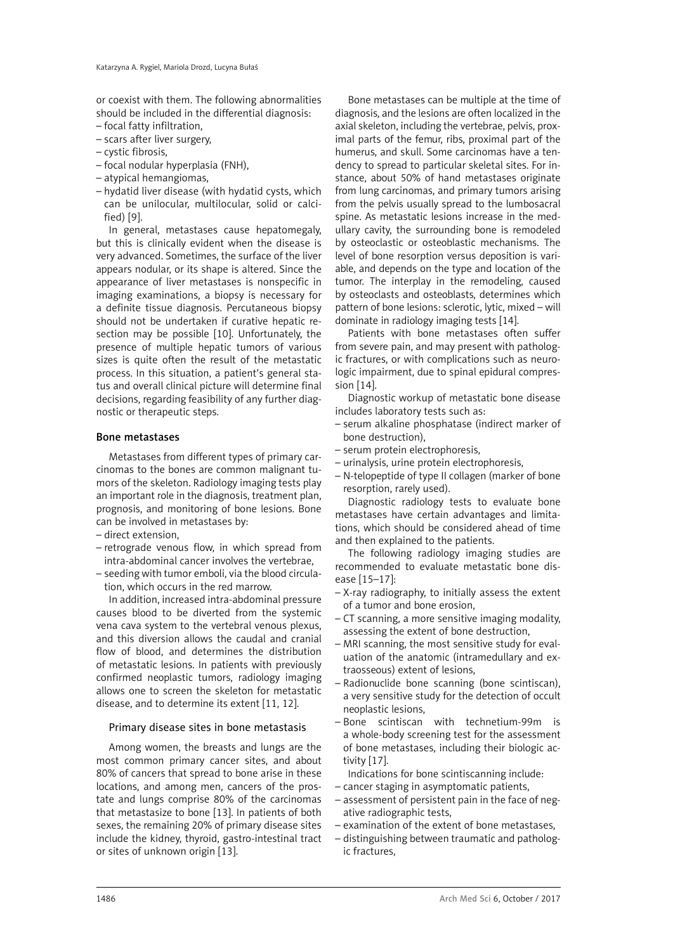or coexist with them. The following abnormalities should be included in the differential diagnosis:

- focal fatty infiltration,
- scars after liver surgery,
- cystic fibrosis,
- focal nodular hyperplasia (FNH),
- atypical hemangiomas,
- hydatid liver disease (with hydatid cysts, which can be unilocular, multilocular, solid or calcified) [9].

In general, metastases cause hepatomegaly, but this is clinically evident when the disease is very advanced. Sometimes, the surface of the liver appears nodular, or its shape is altered. Since the appearance of liver metastases is nonspecific in imaging examinations, a biopsy is necessary for a definite tissue diagnosis. Percutaneous biopsy should not be undertaken if curative hepatic resection may be possible [10]. Unfortunately, the presence of multiple hepatic tumors of various sizes is quite often the result of the metastatic process. In this situation, a patient's general status and overall clinical picture will determine final decisions, regarding feasibility of any further diagnostic or therapeutic steps.

#### Bone metastases

Metastases from different types of primary carcinomas to the bones are common malignant tumors of the skeleton. Radiology imaging tests play an important role in the diagnosis, treatment plan, prognosis, and monitoring of bone lesions. Bone can be involved in metastases by:

- direct extension,
- retrograde venous flow, in which spread from intra-abdominal cancer involves the vertebrae,
- seeding with tumor emboli, via the blood circulation, which occurs in the red marrow.

In addition, increased intra-abdominal pressure causes blood to be diverted from the systemic vena cava system to the vertebral venous plexus, and this diversion allows the caudal and cranial flow of blood, and determines the distribution of metastatic lesions. In patients with previously confirmed neoplastic tumors, radiology imaging allows one to screen the skeleton for metastatic disease, and to determine its extent [11, 12].

## Primary disease sites in bone metastasis

Among women, the breasts and lungs are the most common primary cancer sites, and about 80% of cancers that spread to bone arise in these locations, and among men, cancers of the prostate and lungs comprise 80% of the carcinomas that metastasize to bone [13]. In patients of both sexes, the remaining 20% of primary disease sites include the kidney, thyroid, gastro-intestinal tract or sites of unknown origin [13].

Bone metastases can be multiple at the time of diagnosis, and the lesions are often localized in the axial skeleton, including the vertebrae, pelvis, proximal parts of the femur, ribs, proximal part of the humerus, and skull. Some carcinomas have a tendency to spread to particular skeletal sites. For instance, about 50% of hand metastases originate from lung carcinomas, and primary tumors arising from the pelvis usually spread to the lumbosacral spine. As metastatic lesions increase in the medullary cavity, the surrounding bone is remodeled by osteoclastic or osteoblastic mechanisms. The level of bone resorption versus deposition is variable, and depends on the type and location of the tumor. The interplay in the remodeling, caused by osteoclasts and osteoblasts, determines which pattern of bone lesions: sclerotic, lytic, mixed – will dominate in radiology imaging tests [14].

Patients with bone metastases often suffer from severe pain, and may present with pathologic fractures, or with complications such as neurologic impairment, due to spinal epidural compression [14].

Diagnostic workup of metastatic bone disease includes laboratory tests such as:

- serum alkaline phosphatase (indirect marker of bone destruction),
- serum protein electrophoresis,
- urinalysis, urine protein electrophoresis,
- N-telopeptide of type II collagen (marker of bone resorption, rarely used).

Diagnostic radiology tests to evaluate bone metastases have certain advantages and limitations, which should be considered ahead of time and then explained to the patients.

The following radiology imaging studies are recommended to evaluate metastatic bone disease [15–17]:

- X-ray radiography, to initially assess the extent of a tumor and bone erosion,
- CT scanning, a more sensitive imaging modality, assessing the extent of bone destruction,
- MRI scanning, the most sensitive study for evaluation of the anatomic (intramedullary and extraosseous) extent of lesions,
- Radionuclide bone scanning (bone scintiscan), a very sensitive study for the detection of occult neoplastic lesions,
- Bone scintiscan with technetium-99m is a whole-body screening test for the assessment of bone metastases, including their biologic activity [17].

Indications for bone scintiscanning include: – cancer staging in asymptomatic patients,

- assessment of persistent pain in the face of negative radiographic tests,
- examination of the extent of bone metastases,
- distinguishing between traumatic and pathologic fractures,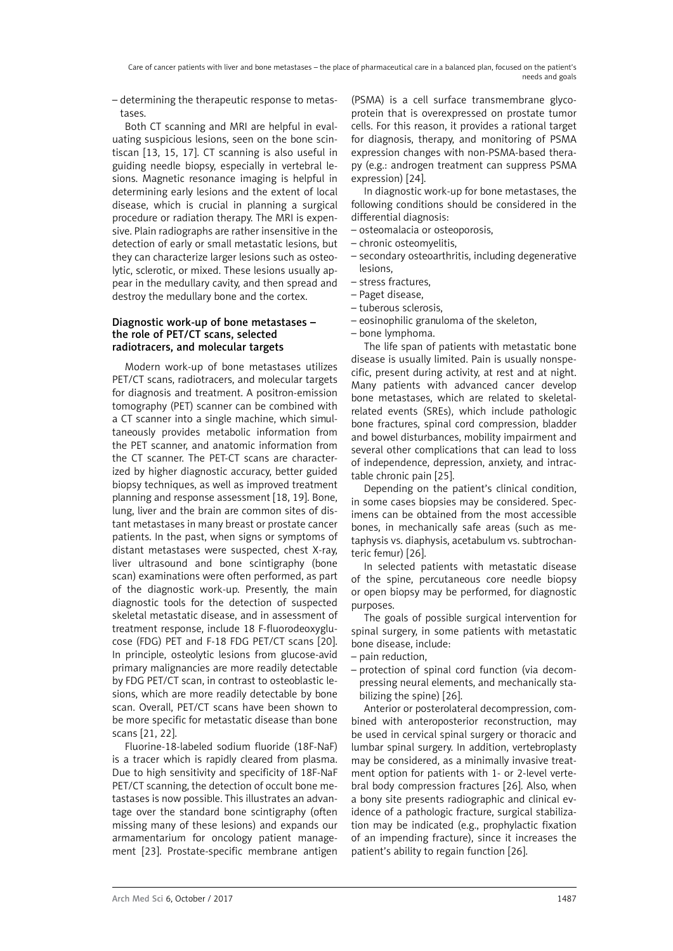– determining the therapeutic response to metastases.

Both CT scanning and MRI are helpful in evaluating suspicious lesions, seen on the bone scintiscan [13, 15, 17]. CT scanning is also useful in guiding needle biopsy, especially in vertebral lesions. Magnetic resonance imaging is helpful in determining early lesions and the extent of local disease, which is crucial in planning a surgical procedure or radiation therapy. The MRI is expensive. Plain radiographs are rather insensitive in the detection of early or small metastatic lesions, but they can characterize larger lesions such as osteolytic, sclerotic, or mixed. These lesions usually appear in the medullary cavity, and then spread and destroy the medullary bone and the cortex.

# Diagnostic work-up of bone metastases – the role of PET/CT scans, selected radiotracers, and molecular targets

Modern work-up of bone metastases utilizes PET/CT scans, radiotracers, and molecular targets for diagnosis and treatment. A positron-emission tomography (PET) scanner can be combined with a CT scanner into a single machine, which simultaneously provides metabolic information from the PET scanner, and anatomic information from the CT scanner. The PET-CT scans are characterized by higher diagnostic accuracy, better guided biopsy techniques, as well as improved treatment planning and response assessment [18, 19]. Bone, lung, liver and the brain are common sites of distant metastases in many breast or prostate cancer patients. In the past, when signs or symptoms of distant metastases were suspected, chest X-ray, liver ultrasound and bone scintigraphy (bone scan) examinations were often performed, as part of the diagnostic work-up. Presently, the main diagnostic tools for the detection of suspected skeletal metastatic disease, and in assessment of treatment response, include 18 F-fluorodeoxyglucose (FDG) PET and F-18 FDG PET/CT scans [20]. In principle, osteolytic lesions from glucose-avid primary malignancies are more readily detectable by FDG PET/CT scan, in contrast to osteoblastic lesions, which are more readily detectable by bone scan. Overall, PET/CT scans have been shown to be more specific for metastatic disease than bone scans [21, 22].

Fluorine-18-labeled sodium fluoride (18F-NaF) is a tracer which is rapidly cleared from plasma. Due to high sensitivity and specificity of 18F-NaF PET/CT scanning, the detection of occult bone metastases is now possible. This illustrates an advantage over the standard bone scintigraphy (often missing many of these lesions) and expands our armamentarium for oncology patient management [23]. Prostate-specific membrane antigen

(PSMA) is a cell surface transmembrane glycoprotein that is overexpressed on prostate tumor cells. For this reason, it provides a rational target for diagnosis, therapy, and monitoring of PSMA expression changes with non-PSMA-based therapy (e.g.: androgen treatment can suppress PSMA expression) [24].

In diagnostic work-up for bone metastases, the following conditions should be considered in the differential diagnosis:

- osteomalacia or osteoporosis,
- chronic osteomyelitis,
- secondary osteoarthritis, including degenerative lesions,
- stress fractures,
- Paget disease,
- tuberous sclerosis,
- eosinophilic granuloma of the skeleton,
- bone lymphoma.

The life span of patients with metastatic bone disease is usually limited. Pain is usually nonspecific, present during activity, at rest and at night. Many patients with advanced cancer develop bone metastases, which are related to skeletalrelated events (SREs), which include pathologic bone fractures, spinal cord compression, bladder and bowel disturbances, mobility impairment and several other complications that can lead to loss of independence, depression, anxiety, and intractable chronic pain [25].

Depending on the patient's clinical condition, in some cases biopsies may be considered. Specimens can be obtained from the most accessible bones, in mechanically safe areas (such as metaphysis vs. diaphysis, acetabulum vs. subtrochanteric femur) [26].

In selected patients with metastatic disease of the spine, percutaneous core needle biopsy or open biopsy may be performed, for diagnostic purposes.

The goals of possible surgical intervention for spinal surgery, in some patients with metastatic bone disease, include:

- pain reduction,
- protection of spinal cord function (via decompressing neural elements, and mechanically stabilizing the spine) [26].

Anterior or posterolateral decompression, combined with anteroposterior reconstruction, may be used in cervical spinal surgery or thoracic and lumbar spinal surgery. In addition, vertebroplasty may be considered, as a minimally invasive treatment option for patients with 1- or 2-level vertebral body compression fractures [26]. Also, when a bony site presents radiographic and clinical evidence of a pathologic fracture, surgical stabilization may be indicated (e.g., prophylactic fixation of an impending fracture), since it increases the patient's ability to regain function [26].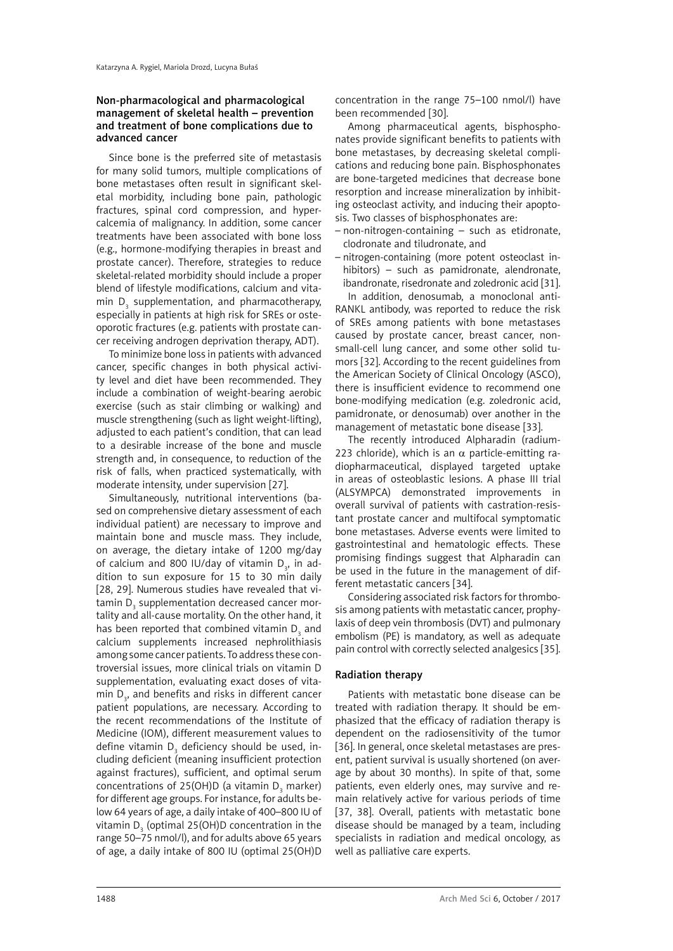# Non-pharmacological and pharmacological management of skeletal health – prevention and treatment of bone complications due to advanced cancer

Since bone is the preferred site of metastasis for many solid tumors, multiple complications of bone metastases often result in significant skeletal morbidity, including bone pain, pathologic fractures, spinal cord compression, and hypercalcemia of malignancy. In addition, some cancer treatments have been associated with bone loss (e.g., hormone-modifying therapies in breast and prostate cancer). Therefore, strategies to reduce skeletal-related morbidity should include a proper blend of lifestyle modifications, calcium and vitamin  $D_3$  supplementation, and pharmacotherapy, especially in patients at high risk for SREs or osteoporotic fractures (e.g. patients with prostate cancer receiving androgen deprivation therapy, ADT).

To minimize bone loss in patients with advanced cancer, specific changes in both physical activity level and diet have been recommended. They include a combination of weight-bearing aerobic exercise (such as stair climbing or walking) and muscle strengthening (such as light weight-lifting), adjusted to each patient's condition, that can lead to a desirable increase of the bone and muscle strength and, in consequence, to reduction of the risk of falls, when practiced systematically, with moderate intensity, under supervision [27].

Simultaneously, nutritional interventions (based on comprehensive dietary assessment of each individual patient) are necessary to improve and maintain bone and muscle mass. They include, on average, the dietary intake of 1200 mg/day of calcium and 800 IU/day of vitamin  $D_{\overline{3}}$ , in addition to sun exposure for 15 to 30 min daily [28, 29]. Numerous studies have revealed that vitamin D $_{\tiny 3}$  supplementation decreased cancer mortality and all-cause mortality. On the other hand, it has been reported that combined vitamin  $\mathsf{D}_{_{\mathrm{3}}}$  and calcium supplements increased nephrolithiasis among some cancer patients. To address these controversial issues, more clinical trials on vitamin D supplementation, evaluating exact doses of vitamin  $D_{3}$ , and benefits and risks in different cancer patient populations, are necessary. According to the recent recommendations of the Institute of Medicine (IOM), different measurement values to define vitamin D $_{\tiny 3}$  deficiency should be used, including deficient (meaning insufficient protection against fractures), sufficient, and optimal serum concentrations of 25(OH)D (a vitamin  $D_3$  marker) for different age groups. For instance, for adults below 64 years of age, a daily intake of 400–800 IU of vitamin D $_{\textrm{\tiny{\textup{3}}}}$  (optimal 25(OH)D concentration in the range 50–75 nmol/l), and for adults above 65 years of age, a daily intake of 800 IU (optimal 25(OH)D

concentration in the range 75–100 nmol/l) have been recommended [30].

Among pharmaceutical agents, bisphosphonates provide significant benefits to patients with bone metastases, by decreasing skeletal complications and reducing bone pain. Bisphosphonates are bone-targeted medicines that decrease bone resorption and increase mineralization by inhibiting osteoclast activity, and inducing their apoptosis. Two classes of bisphosphonates are:

- non-nitrogen-containing such as etidronate, clodronate and tiludronate, and
- nitrogen-containing (more potent osteoclast inhibitors) – such as pamidronate, alendronate, ibandronate, risedronate and zoledronic acid [31].

In addition, denosumab, a monoclonal anti-RANKL antibody, was reported to reduce the risk of SREs among patients with bone metastases caused by prostate cancer, breast cancer, nonsmall-cell lung cancer, and some other solid tumors [32]. According to the recent guidelines from the American Society of Clinical Oncology (ASCO), there is insufficient evidence to recommend one bone-modifying medication (e.g. zoledronic acid, pamidronate, or denosumab) over another in the management of metastatic bone disease [33].

The recently introduced Alpharadin (radium-223 chloride), which is an  $\alpha$  particle-emitting radiopharmaceutical, displayed targeted uptake in areas of osteoblastic lesions. A phase III trial (ALSYMPCA) demonstrated improvements in overall survival of patients with castration-resistant prostate cancer and multifocal symptomatic bone metastases. Adverse events were limited to gastrointestinal and hematologic effects. These promising findings suggest that Alpharadin can be used in the future in the management of different metastatic cancers [34].

Considering associated risk factors for thrombosis among patients with metastatic cancer, prophylaxis of deep vein thrombosis (DVT) and pulmonary embolism (PE) is mandatory, as well as adequate pain control with correctly selected analgesics [35].

## Radiation therapy

Patients with metastatic bone disease can be treated with radiation therapy. It should be emphasized that the efficacy of radiation therapy is dependent on the radiosensitivity of the tumor [36]. In general, once skeletal metastases are present, patient survival is usually shortened (on average by about 30 months). In spite of that, some patients, even elderly ones, may survive and remain relatively active for various periods of time [37, 38]. Overall, patients with metastatic bone disease should be managed by a team, including specialists in radiation and medical oncology, as well as palliative care experts.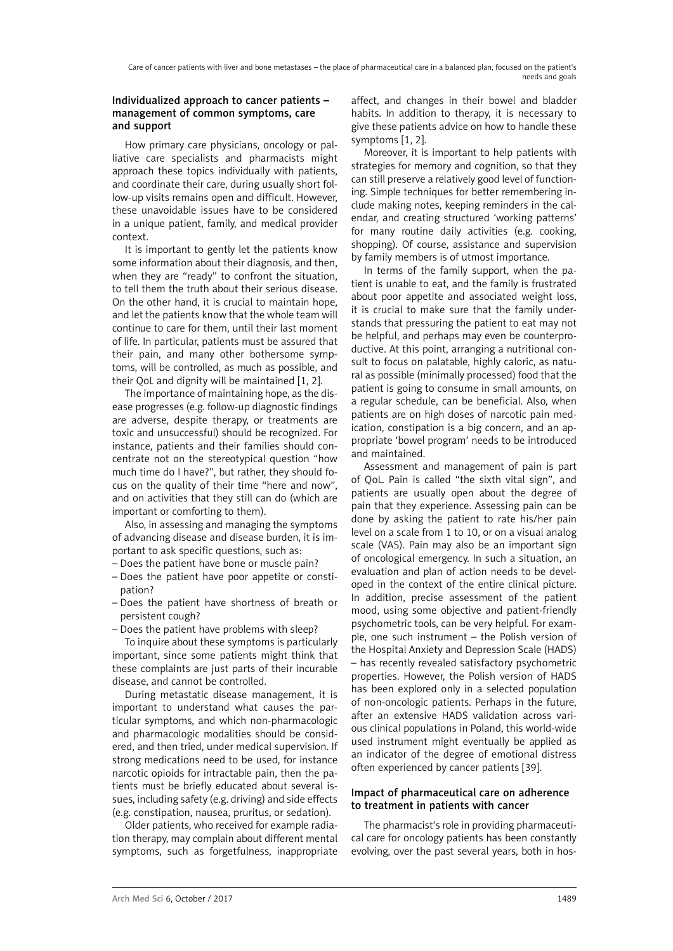# Individualized approach to cancer patients – management of common symptoms, care and support

How primary care physicians, oncology or palliative care specialists and pharmacists might approach these topics individually with patients, and coordinate their care, during usually short follow-up visits remains open and difficult. However, these unavoidable issues have to be considered in a unique patient, family, and medical provider context.

It is important to gently let the patients know some information about their diagnosis, and then, when they are "ready" to confront the situation, to tell them the truth about their serious disease. On the other hand, it is crucial to maintain hope, and let the patients know that the whole team will continue to care for them, until their last moment of life. In particular, patients must be assured that their pain, and many other bothersome symptoms, will be controlled, as much as possible, and their QoL and dignity will be maintained [1, 2].

The importance of maintaining hope, as the disease progresses (e.g. follow-up diagnostic findings are adverse, despite therapy, or treatments are toxic and unsuccessful) should be recognized. For instance, patients and their families should concentrate not on the stereotypical question "how much time do I have?", but rather, they should focus on the quality of their time "here and now", and on activities that they still can do (which are important or comforting to them).

Also, in assessing and managing the symptoms of advancing disease and disease burden, it is important to ask specific questions, such as:

– Does the patient have bone or muscle pain?

- Does the patient have poor appetite or constipation?
- Does the patient have shortness of breath or persistent cough?
- Does the patient have problems with sleep?

To inquire about these symptoms is particularly important, since some patients might think that these complaints are just parts of their incurable disease, and cannot be controlled.

During metastatic disease management, it is important to understand what causes the particular symptoms, and which non-pharmacologic and pharmacologic modalities should be considered, and then tried, under medical supervision. If strong medications need to be used, for instance narcotic opioids for intractable pain, then the patients must be briefly educated about several issues, including safety (e.g. driving) and side effects (e.g. constipation, nausea, pruritus, or sedation).

Older patients, who received for example radiation therapy, may complain about different mental symptoms, such as forgetfulness, inappropriate affect, and changes in their bowel and bladder habits. In addition to therapy, it is necessary to give these patients advice on how to handle these symptoms [1, 2].

Moreover, it is important to help patients with strategies for memory and cognition, so that they can still preserve a relatively good level of functioning. Simple techniques for better remembering include making notes, keeping reminders in the calendar, and creating structured 'working patterns' for many routine daily activities (e.g. cooking, shopping). Of course, assistance and supervision by family members is of utmost importance.

In terms of the family support, when the patient is unable to eat, and the family is frustrated about poor appetite and associated weight loss, it is crucial to make sure that the family understands that pressuring the patient to eat may not be helpful, and perhaps may even be counterproductive. At this point, arranging a nutritional consult to focus on palatable, highly caloric, as natural as possible (minimally processed) food that the patient is going to consume in small amounts, on a regular schedule, can be beneficial. Also, when patients are on high doses of narcotic pain medication, constipation is a big concern, and an appropriate 'bowel program' needs to be introduced and maintained.

Assessment and management of pain is part of QoL. Pain is called "the sixth vital sign", and patients are usually open about the degree of pain that they experience. Assessing pain can be done by asking the patient to rate his/her pain level on a scale from 1 to 10, or on a visual analog scale (VAS). Pain may also be an important sign of oncological emergency. In such a situation, an evaluation and plan of action needs to be developed in the context of the entire clinical picture. In addition, precise assessment of the patient mood, using some objective and patient-friendly psychometric tools, can be very helpful. For example, one such instrument – the Polish version of the Hospital Anxiety and Depression Scale (HADS) – has recently revealed satisfactory psychometric properties. However, the Polish version of HADS has been explored only in a selected population of non-oncologic patients. Perhaps in the future, after an extensive HADS validation across various clinical populations in Poland, this world-wide used instrument might eventually be applied as an indicator of the degree of emotional distress often experienced by cancer patients [39].

## Impact of pharmaceutical care on adherence to treatment in patients with cancer

The pharmacist's role in providing pharmaceutical care for oncology patients has been constantly evolving, over the past several years, both in hos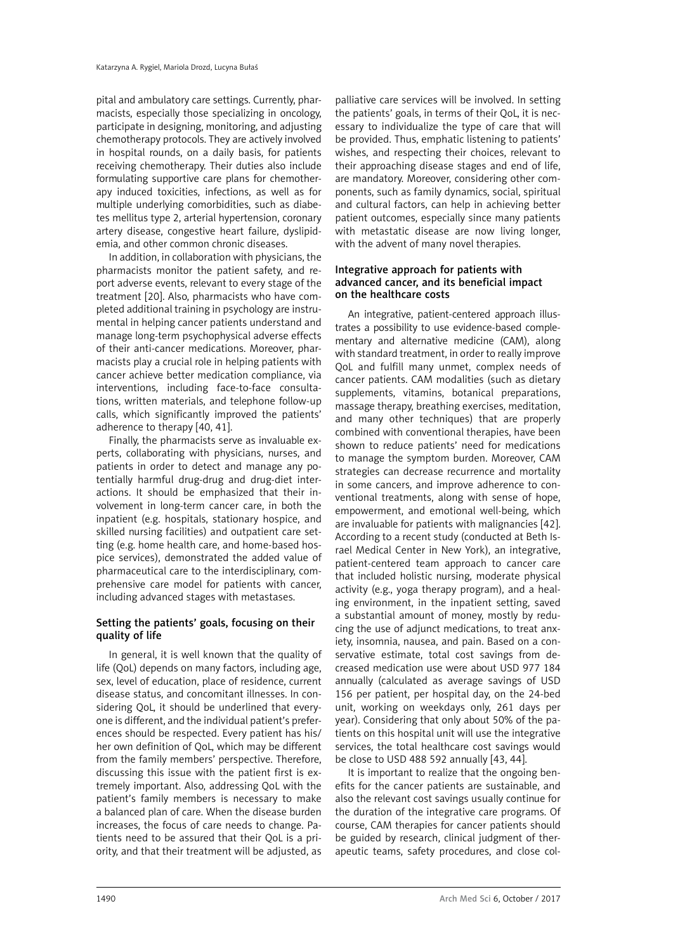pital and ambulatory care settings. Currently, pharmacists, especially those specializing in oncology, participate in designing, monitoring, and adjusting chemotherapy protocols. They are actively involved in hospital rounds, on a daily basis, for patients receiving chemotherapy. Their duties also include formulating supportive care plans for chemotherapy induced toxicities, infections, as well as for multiple underlying comorbidities, such as diabetes mellitus type 2, arterial hypertension, coronary artery disease, congestive heart failure, dyslipidemia, and other common chronic diseases.

In addition, in collaboration with physicians, the pharmacists monitor the patient safety, and report adverse events, relevant to every stage of the treatment [20]. Also, pharmacists who have completed additional training in psychology are instrumental in helping cancer patients understand and manage long-term psychophysical adverse effects of their anti-cancer medications. Moreover, pharmacists play a crucial role in helping patients with cancer achieve better medication compliance, via interventions, including face-to-face consultations, written materials, and telephone follow-up calls, which significantly improved the patients' adherence to therapy [40, 41].

Finally, the pharmacists serve as invaluable experts, collaborating with physicians, nurses, and patients in order to detect and manage any potentially harmful drug-drug and drug-diet interactions. It should be emphasized that their involvement in long-term cancer care, in both the inpatient (e.g. hospitals, stationary hospice, and skilled nursing facilities) and outpatient care setting (e.g. home health care, and home-based hospice services), demonstrated the added value of pharmaceutical care to the interdisciplinary, comprehensive care model for patients with cancer, including advanced stages with metastases.

## Setting the patients' goals, focusing on their quality of life

In general, it is well known that the quality of life (QoL) depends on many factors, including age, sex, level of education, place of residence, current disease status, and concomitant illnesses. In considering QoL, it should be underlined that everyone is different, and the individual patient's preferences should be respected. Every patient has his/ her own definition of QoL, which may be different from the family members' perspective. Therefore, discussing this issue with the patient first is extremely important. Also, addressing QoL with the patient's family members is necessary to make a balanced plan of care. When the disease burden increases, the focus of care needs to change. Patients need to be assured that their QoL is a priority, and that their treatment will be adjusted, as

palliative care services will be involved. In setting the patients' goals, in terms of their QoL, it is necessary to individualize the type of care that will be provided. Thus, emphatic listening to patients' wishes, and respecting their choices, relevant to their approaching disease stages and end of life, are mandatory. Moreover, considering other components, such as family dynamics, social, spiritual and cultural factors, can help in achieving better patient outcomes, especially since many patients with metastatic disease are now living longer, with the advent of many novel therapies.

#### Integrative approach for patients with advanced cancer, and its beneficial impact on the healthcare costs

An integrative, patient-centered approach illustrates a possibility to use evidence-based complementary and alternative medicine (CAM), along with standard treatment, in order to really improve QoL and fulfill many unmet, complex needs of cancer patients. CAM modalities (such as dietary supplements, vitamins, botanical preparations, massage therapy, breathing exercises, meditation, and many other techniques) that are properly combined with conventional therapies, have been shown to reduce patients' need for medications to manage the symptom burden. Moreover, CAM strategies can decrease recurrence and mortality in some cancers, and improve adherence to conventional treatments, along with sense of hope, empowerment, and emotional well-being, which are invaluable for patients with malignancies [42]. According to a recent study (conducted at Beth Israel Medical Center in New York), an integrative, patient-centered team approach to cancer care that included holistic nursing, moderate physical activity (e.g., yoga therapy program), and a healing environment, in the inpatient setting, saved a substantial amount of money, mostly by reducing the use of adjunct medications, to treat anxiety, insomnia, nausea, and pain. Based on a conservative estimate, total cost savings from decreased medication use were about USD 977 184 annually (calculated as average savings of USD 156 per patient, per hospital day, on the 24-bed unit, working on weekdays only, 261 days per year). Considering that only about 50% of the patients on this hospital unit will use the integrative services, the total healthcare cost savings would be close to USD 488 592 annually [43, 44].

It is important to realize that the ongoing benefits for the cancer patients are sustainable, and also the relevant cost savings usually continue for the duration of the integrative care programs. Of course, CAM therapies for cancer patients should be guided by research, clinical judgment of therapeutic teams, safety procedures, and close col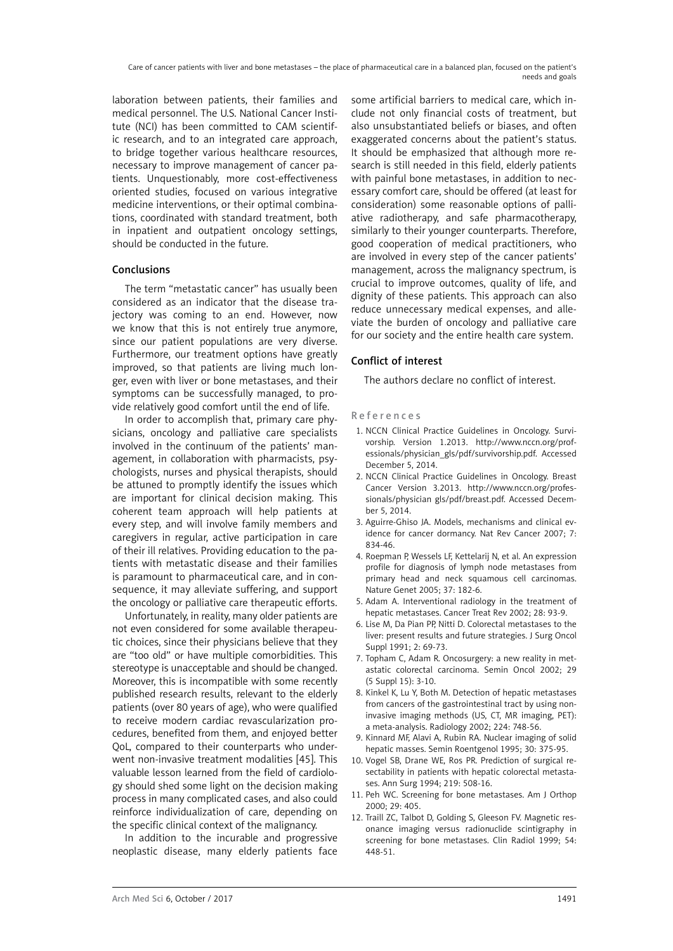laboration between patients, their families and medical personnel. The U.S. National Cancer Institute (NCI) has been committed to CAM scientific research, and to an integrated care approach, to bridge together various healthcare resources, necessary to improve management of cancer patients. Unquestionably, more cost-effectiveness oriented studies, focused on various integrative medicine interventions, or their optimal combinations, coordinated with standard treatment, both in inpatient and outpatient oncology settings, should be conducted in the future.

# Conclusions

The term "metastatic cancer" has usually been considered as an indicator that the disease trajectory was coming to an end. However, now we know that this is not entirely true anymore, since our patient populations are very diverse. Furthermore, our treatment options have greatly improved, so that patients are living much longer, even with liver or bone metastases, and their symptoms can be successfully managed, to provide relatively good comfort until the end of life.

In order to accomplish that, primary care physicians, oncology and palliative care specialists involved in the continuum of the patients' management, in collaboration with pharmacists, psychologists, nurses and physical therapists, should be attuned to promptly identify the issues which are important for clinical decision making. This coherent team approach will help patients at every step, and will involve family members and caregivers in regular, active participation in care of their ill relatives. Providing education to the patients with metastatic disease and their families is paramount to pharmaceutical care, and in consequence, it may alleviate suffering, and support the oncology or palliative care therapeutic efforts.

Unfortunately, in reality, many older patients are not even considered for some available therapeutic choices, since their physicians believe that they are "too old" or have multiple comorbidities. This stereotype is unacceptable and should be changed. Moreover, this is incompatible with some recently published research results, relevant to the elderly patients (over 80 years of age), who were qualified to receive modern cardiac revascularization procedures, benefited from them, and enjoyed better QoL, compared to their counterparts who underwent non-invasive treatment modalities [45]. This valuable lesson learned from the field of cardiology should shed some light on the decision making process in many complicated cases, and also could reinforce individualization of care, depending on the specific clinical context of the malignancy.

In addition to the incurable and progressive neoplastic disease, many elderly patients face some artificial barriers to medical care, which include not only financial costs of treatment, but also unsubstantiated beliefs or biases, and often exaggerated concerns about the patient's status. It should be emphasized that although more research is still needed in this field, elderly patients with painful bone metastases, in addition to necessary comfort care, should be offered (at least for consideration) some reasonable options of palliative radiotherapy, and safe pharmacotherapy, similarly to their younger counterparts. Therefore, good cooperation of medical practitioners, who are involved in every step of the cancer patients' management, across the malignancy spectrum, is crucial to improve outcomes, quality of life, and dignity of these patients. This approach can also reduce unnecessary medical expenses, and alleviate the burden of oncology and palliative care for our society and the entire health care system.

# Conflict of interest

The authors declare no conflict of interest.

# R e f e r e n c e s

- 1. NCCN Clinical Practice Guidelines in Oncology. Survivorship. Version 1.2013. http://www.nccn.org/professionals/physician\_gls/pdf/survivorship.pdf. Accessed December 5, 2014.
- 2. NCCN Clinical Practice Guidelines in Oncology. Breast Cancer Version 3.2013. http://www.nccn.org/professionals/physician gls/pdf/breast.pdf. Accessed December 5, 2014.
- 3. Aguirre-Ghiso JA. Models, mechanisms and clinical evidence for cancer dormancy. Nat Rev Cancer 2007; 7: 834-46.
- 4. Roepman P, Wessels LF, Kettelarij N, et al. An expression profile for diagnosis of lymph node metastases from primary head and neck squamous cell carcinomas. Nature Genet 2005; 37: 182-6.
- 5. Adam A. Interventional radiology in the treatment of hepatic metastases. Cancer Treat Rev 2002; 28: 93-9.
- 6. Lise M, Da Pian PP, Nitti D. Colorectal metastases to the liver: present results and future strategies. J Surg Oncol Suppl 1991; 2: 69-73.
- 7. Topham C, Adam R. Oncosurgery: a new reality in metastatic colorectal carcinoma. Semin Oncol 2002; 29 (5 Suppl 15): 3-10.
- 8. Kinkel K, Lu Y, Both M. Detection of hepatic metastases from cancers of the gastrointestinal tract by using noninvasive imaging methods (US, CT, MR imaging, PET): a meta-analysis. Radiology 2002; 224: 748-56.
- 9. Kinnard MF, Alavi A, Rubin RA. Nuclear imaging of solid hepatic masses. Semin Roentgenol 1995; 30: 375-95.
- 10. Vogel SB, Drane WE, Ros PR. Prediction of surgical resectability in patients with hepatic colorectal metastases. Ann Surg 1994; 219: 508-16.
- 11. Peh WC. Screening for bone metastases. Am J Orthop 2000; 29: 405.
- 12. Traill ZC, Talbot D, Golding S, Gleeson FV. Magnetic resonance imaging versus radionuclide scintigraphy in screening for bone metastases. Clin Radiol 1999; 54: 448-51.